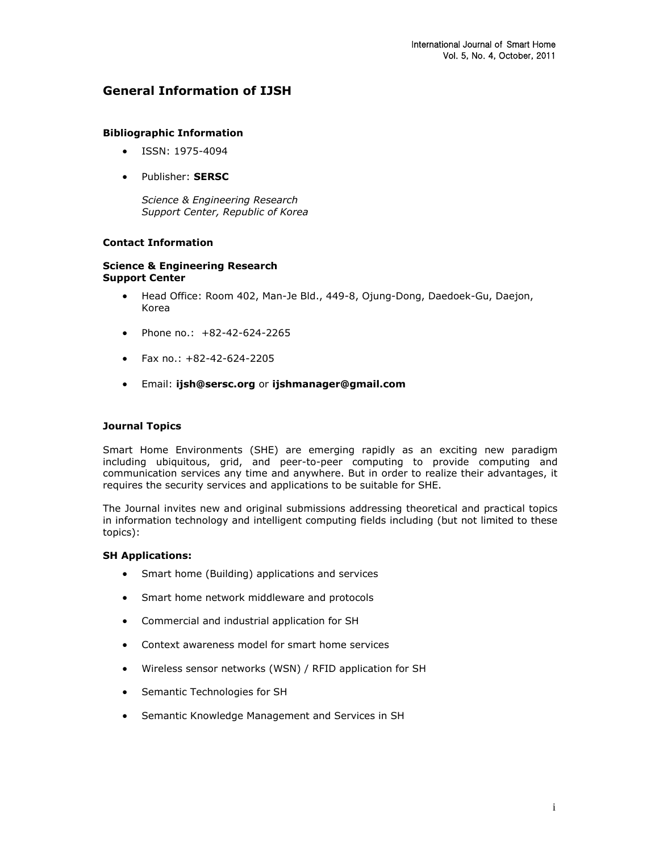# **General Information of IJSH**

### **Bibliographic Information**

- ISSN: 1975-4094
- Publisher: **SERSC**

*Science & Engineering Research Support Center, Republic of Korea*

## **Contact Information**

### **Science & Engineering Research Support Center**

- Head Office: Room 402, Man-Je Bld., 449-8, Ojung-Dong, Daedoek-Gu, Daejon, Korea
- Phone no.:  $+82-42-624-2265$
- $\bullet$  Fax no.: +82-42-624-2205
- Email: **[ijsh@sersc.org](mailto:ijsh@sersc.org)** or **[ijshmanager@gmail.com](mailto:ijshmanager@gmail.com)**

#### **Journal Topics**

Smart Home Environments (SHE) are emerging rapidly as an exciting new paradigm including ubiquitous, grid, and peer-to-peer computing to provide computing and communication services any time and anywhere. But in order to realize their advantages, it requires the security services and applications to be suitable for SHE.

The Journal invites new and original submissions addressing theoretical and practical topics in information technology and intelligent computing fields including (but not limited to these topics):

#### **SH Applications:**

- Smart home (Building) applications and services
- Smart home network middleware and protocols
- Commercial and industrial application for SH
- Context awareness model for smart home services
- Wireless sensor networks (WSN) / RFID application for SH
- Semantic Technologies for SH
- Semantic Knowledge Management and Services in SH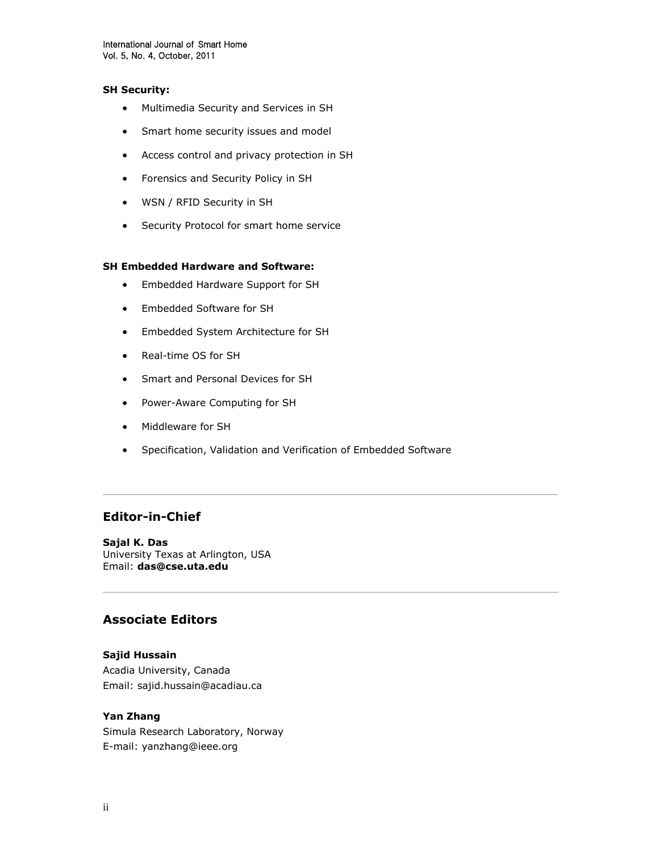### **SH Security:**

- Multimedia Security and Services in SH
- Smart home security issues and model
- Access control and privacy protection in SH
- Forensics and Security Policy in SH
- WSN / RFID Security in SH
- Security Protocol for smart home service

## **SH Embedded Hardware and Software:**

- Embedded Hardware Support for SH
- Embedded Software for SH
- Embedded System Architecture for SH
- Real-time OS for SH
- Smart and Personal Devices for SH
- Power-Aware Computing for SH
- Middleware for SH
- Specification, Validation and Verification of Embedded Software

# **Editor-in-Chief**

**Sajal K. Das** University Texas at Arlington, USA Email: **[das@cse.uta.edu](mailto:das@cse.uta.edu)**

# **Associate Editors**

## **Sajid Hussain**

Acadia University, Canada Email: sajid.hussain@acadiau.ca

## **Yan Zhang**

Simula Research Laboratory, Norway E-mail: yanzhang@ieee.org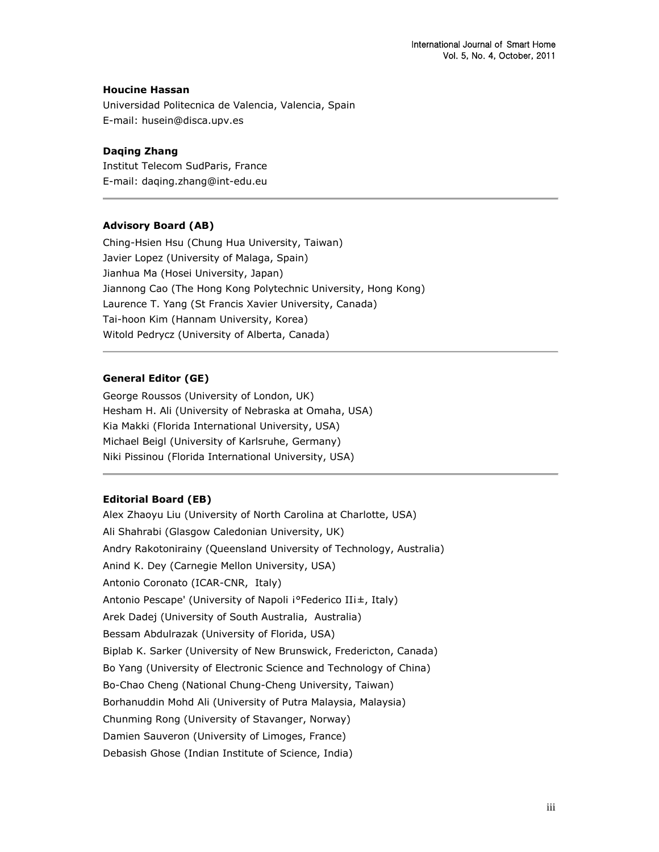### **Houcine Hassan**

Universidad Politecnica de Valencia, Valencia, Spain E-mail: husein@disca.upv.es

## **Daqing Zhang**

Institut Telecom SudParis, France E-mail: daqing.zhang@int-edu.eu

## **Advisory Board (AB)**

Ching-Hsien Hsu (Chung Hua University, Taiwan) Javier Lopez (University of Malaga, Spain) Jianhua Ma (Hosei University, Japan) Jiannong Cao (The Hong Kong Polytechnic University, Hong Kong) Laurence T. Yang (St Francis Xavier University, Canada) Tai-hoon Kim (Hannam University, Korea) Witold Pedrycz (University of Alberta, Canada)

## **General Editor (GE)**

George Roussos (University of London, UK) Hesham H. Ali (University of Nebraska at Omaha, USA) Kia Makki (Florida International University, USA) Michael Beigl (University of Karlsruhe, Germany) Niki Pissinou (Florida International University, USA)

#### **Editorial Board (EB)**

Alex Zhaoyu Liu (University of North Carolina at Charlotte, USA) Ali Shahrabi (Glasgow Caledonian University, UK) Andry Rakotonirainy (Queensland University of Technology, Australia) Anind K. Dey (Carnegie Mellon University, USA) Antonio Coronato (ICAR-CNR, Italy) Antonio Pescape' (University of Napoli ¡°Federico II¡±, Italy) Arek Dadej (University of South Australia, Australia) Bessam Abdulrazak (University of Florida, USA) Biplab K. Sarker (University of New Brunswick, Fredericton, Canada) Bo Yang (University of Electronic Science and Technology of China) Bo-Chao Cheng (National Chung-Cheng University, Taiwan) Borhanuddin Mohd Ali (University of Putra Malaysia, Malaysia) Chunming Rong (University of Stavanger, Norway) Damien Sauveron (University of Limoges, France) Debasish Ghose (Indian Institute of Science, India)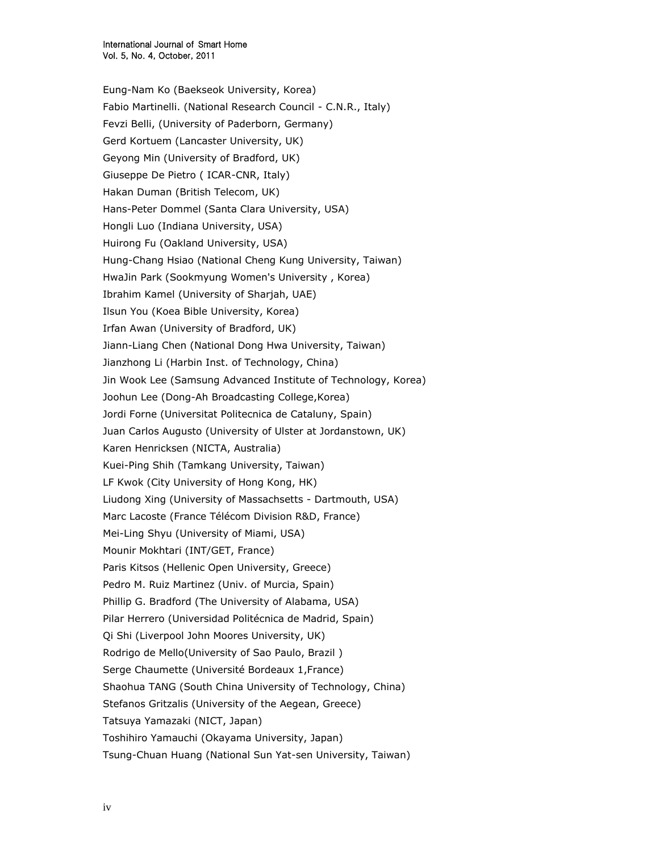Eung-Nam Ko (Baekseok University, Korea) Fabio Martinelli. (National Research Council - C.N.R., Italy) Fevzi Belli, (University of Paderborn, Germany) Gerd Kortuem (Lancaster University, UK) Geyong Min (University of Bradford, UK) Giuseppe De Pietro ( ICAR-CNR, Italy) Hakan Duman (British Telecom, UK) Hans-Peter Dommel (Santa Clara University, USA) Hongli Luo (Indiana University, USA) Huirong Fu (Oakland University, USA) Hung-Chang Hsiao (National Cheng Kung University, Taiwan) HwaJin Park (Sookmyung Women's University , Korea) Ibrahim Kamel (University of Sharjah, UAE) Ilsun You (Koea Bible University, Korea) Irfan Awan (University of Bradford, UK) Jiann-Liang Chen (National Dong Hwa University, Taiwan) Jianzhong Li (Harbin Inst. of Technology, China) Jin Wook Lee (Samsung Advanced Institute of Technology, Korea) Joohun Lee (Dong-Ah Broadcasting College,Korea) Jordi Forne (Universitat Politecnica de Cataluny, Spain) Juan Carlos Augusto (University of Ulster at Jordanstown, UK) Karen Henricksen (NICTA, Australia) Kuei-Ping Shih (Tamkang University, Taiwan) LF Kwok (City University of Hong Kong, HK) Liudong Xing (University of Massachsetts - Dartmouth, USA) Marc Lacoste (France Télécom Division R&D, France) Mei-Ling Shyu (University of Miami, USA) Mounir Mokhtari (INT/GET, France) Paris Kitsos (Hellenic Open University, Greece) Pedro M. Ruiz Martinez (Univ. of Murcia, Spain) Phillip G. Bradford (The University of Alabama, USA) Pilar Herrero (Universidad Politécnica de Madrid, Spain) Qi Shi (Liverpool John Moores University, UK) Rodrigo de Mello(University of Sao Paulo, Brazil ) Serge Chaumette (Université Bordeaux 1,France) Shaohua TANG (South China University of Technology, China) Stefanos Gritzalis (University of the Aegean, Greece) Tatsuya Yamazaki (NICT, Japan) Toshihiro Yamauchi (Okayama University, Japan) Tsung-Chuan Huang (National Sun Yat-sen University, Taiwan)